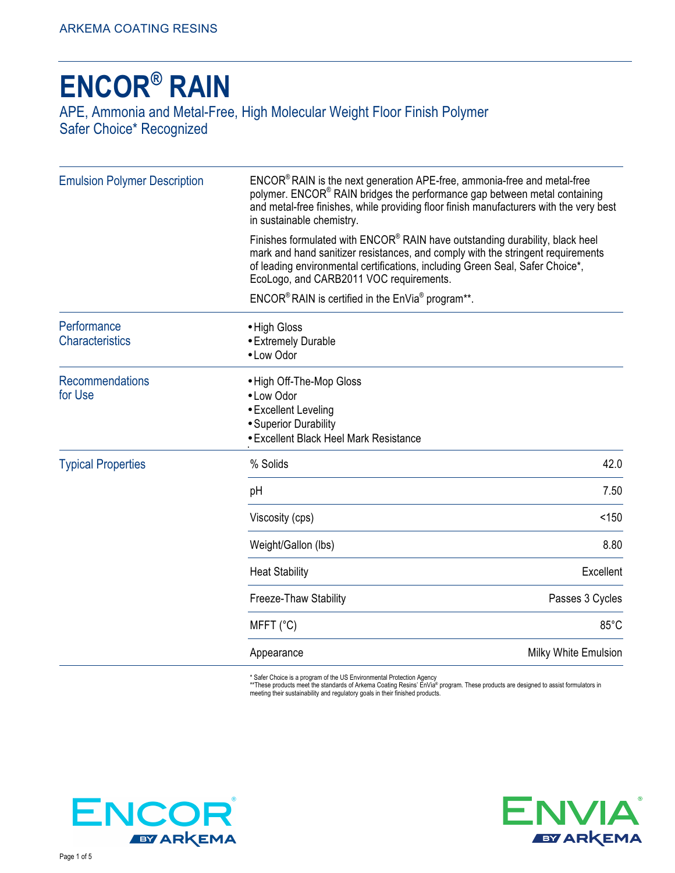# **ENCOR® RAIN** APE, Ammonia and Metal-Free, High Molecular Weight Floor Finish Polymer Safer Choice\* Recognized

| <b>Emulsion Polymer Description</b>   | ENCOR® RAIN is the next generation APE-free, ammonia-free and metal-free<br>polymer. ENCOR <sup>®</sup> RAIN bridges the performance gap between metal containing<br>and metal-free finishes, while providing floor finish manufacturers with the very best<br>in sustainable chemistry.<br>Finishes formulated with ENCOR® RAIN have outstanding durability, black heel<br>mark and hand sanitizer resistances, and comply with the stringent requirements<br>of leading environmental certifications, including Green Seal, Safer Choice*,<br>EcoLogo, and CARB2011 VOC requirements. |                      |  |
|---------------------------------------|-----------------------------------------------------------------------------------------------------------------------------------------------------------------------------------------------------------------------------------------------------------------------------------------------------------------------------------------------------------------------------------------------------------------------------------------------------------------------------------------------------------------------------------------------------------------------------------------|----------------------|--|
|                                       |                                                                                                                                                                                                                                                                                                                                                                                                                                                                                                                                                                                         |                      |  |
|                                       | $\mathsf{ENCOR}^{\circledast}$ RAIN is certified in the $\mathsf{EnVia}^{\circledast}$ program**.                                                                                                                                                                                                                                                                                                                                                                                                                                                                                       |                      |  |
| Performance<br><b>Characteristics</b> | • High Gloss<br>• Extremely Durable<br>• Low Odor                                                                                                                                                                                                                                                                                                                                                                                                                                                                                                                                       |                      |  |
| <b>Recommendations</b><br>for Use     | • High Off-The-Mop Gloss<br>• Low Odor<br>• Excellent Leveling<br>• Superior Durability<br>• Excellent Black Heel Mark Resistance                                                                                                                                                                                                                                                                                                                                                                                                                                                       |                      |  |
| <b>Typical Properties</b>             | % Solids                                                                                                                                                                                                                                                                                                                                                                                                                                                                                                                                                                                | 42.0                 |  |
|                                       | рH                                                                                                                                                                                                                                                                                                                                                                                                                                                                                                                                                                                      | 7.50                 |  |
|                                       | Viscosity (cps)                                                                                                                                                                                                                                                                                                                                                                                                                                                                                                                                                                         | < 150                |  |
|                                       | Weight/Gallon (lbs)                                                                                                                                                                                                                                                                                                                                                                                                                                                                                                                                                                     | 8.80                 |  |
|                                       | <b>Heat Stability</b>                                                                                                                                                                                                                                                                                                                                                                                                                                                                                                                                                                   | Excellent            |  |
|                                       | Freeze-Thaw Stability                                                                                                                                                                                                                                                                                                                                                                                                                                                                                                                                                                   | Passes 3 Cycles      |  |
|                                       | MFFT (°C)                                                                                                                                                                                                                                                                                                                                                                                                                                                                                                                                                                               | 85°C                 |  |
|                                       | Appearance                                                                                                                                                                                                                                                                                                                                                                                                                                                                                                                                                                              | Milky White Emulsion |  |

\* Safer Choice is a program of the US Environmental Protection Agency<br>\*\*These products meet the standards of Arkema Coating Resins' EnVia® program. These products are designed to assist formulators in<br>meeting their sustain



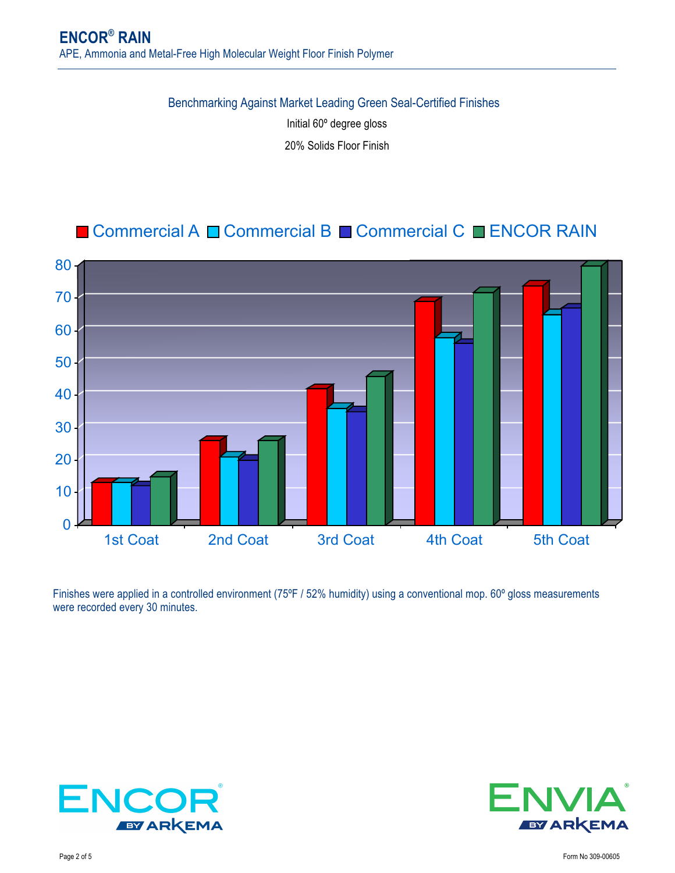Benchmarking Against Market Leading Green Seal-Certified Finishes

Initial 60º degree gloss

20% Solids Floor Finish

## Commercial A Commercial B Commercial C CENCOR RAIN



Finishes were applied in a controlled environment (75°F / 52% humidity) using a conventional mop. 60° gloss measurements were recorded every 30 minutes.



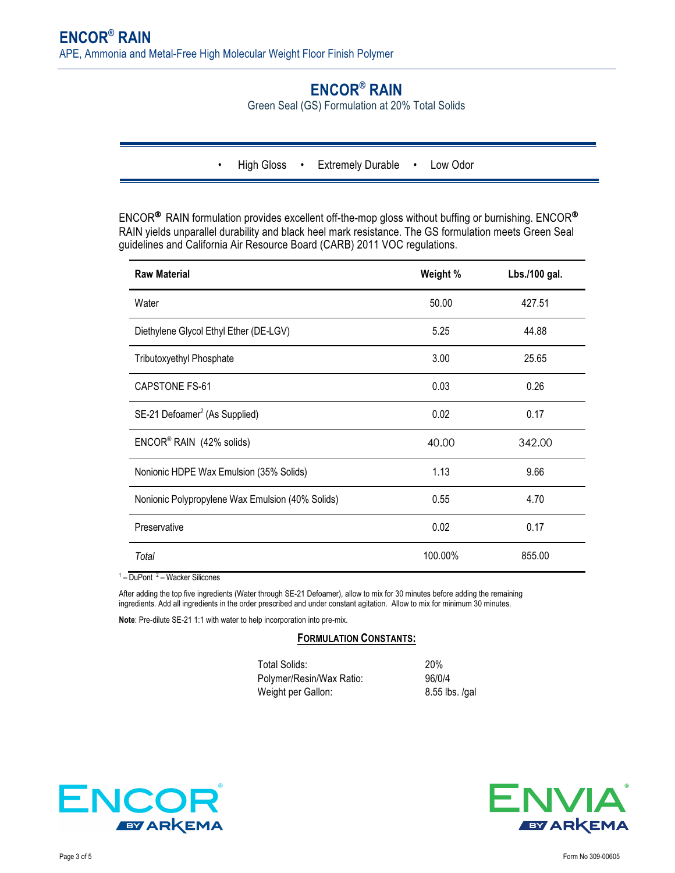## **ENCOR® RAIN**

Green Seal (GS) Formulation at 20% Total Solids

• High Gloss • Extremely Durable • Low Odor

ENCOR® RAIN formulation provides excellent off-the-mop gloss without buffing or burnishing. ENCOR® RAIN yields unparallel durability and black heel mark resistance. The GS formulation meets Green Seal guidelines and California Air Resource Board (CARB) 2011 VOC regulations.

| <b>Raw Material</b>                              | Weight % | Lbs./100 gal. |
|--------------------------------------------------|----------|---------------|
| Water                                            | 50.00    | 427.51        |
| Diethylene Glycol Ethyl Ether (DE-LGV)           | 5.25     | 44.88         |
| Tributoxyethyl Phosphate                         | 3.00     | 25.65         |
| <b>CAPSTONE FS-61</b>                            | 0.03     | 0.26          |
| SE-21 Defoamer <sup>2</sup> (As Supplied)        | 0.02     | 0.17          |
| ENCOR <sup>®</sup> RAIN (42% solids)             | 40.00    | 342.00        |
| Nonionic HDPE Wax Emulsion (35% Solids)          | 1.13     | 9.66          |
| Nonionic Polypropylene Wax Emulsion (40% Solids) | 0.55     | 4.70          |
| Preservative                                     | 0.02     | 0.17          |
| Total                                            | 100.00%  | 855.00        |

 $1 -$  DuPont  $2 -$  Wacker Silicones

After adding the top five ingredients (Water through SE-21 Defoamer), allow to mix for 30 minutes before adding the remaining ingredients. Add all ingredients in the order prescribed and under constant agitation. Allow to mix for minimum 30 minutes.

**Note**: Pre-dilute SE-21 1:1 with water to help incorporation into pre-mix.

#### **FORMULATION CONSTANTS:**

| Total Solids:            | <b>20%</b>     |
|--------------------------|----------------|
| Polymer/Resin/Wax Ratio: | 96/0/4         |
| Weight per Gallon:       | 8.55 lbs. /gal |



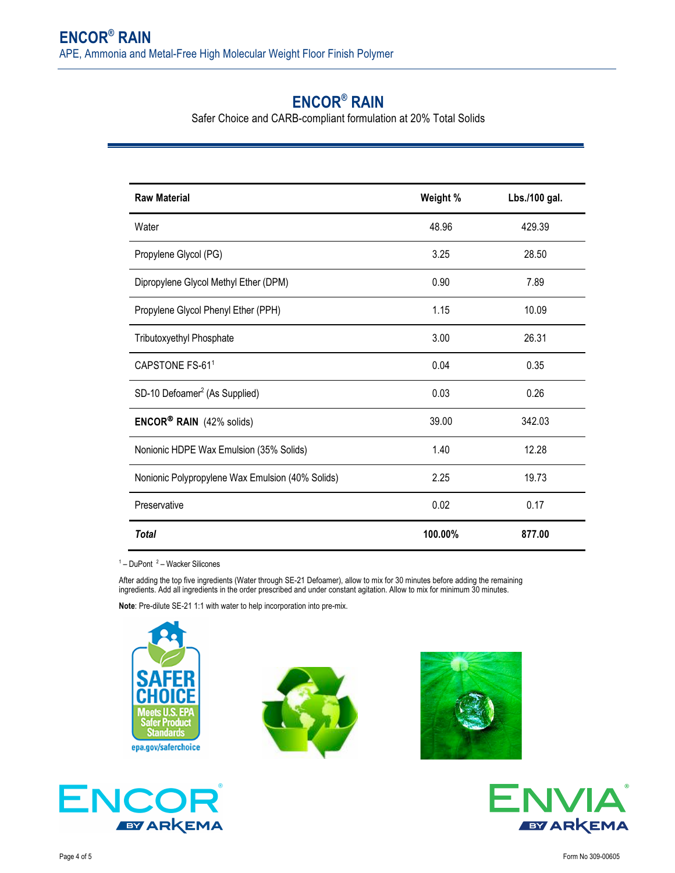### **ENCOR® RAIN**

Safer Choice and CARB-compliant formulation at 20% Total Solids

| <b>Raw Material</b>                              | Weight % | Lbs./100 gal. |
|--------------------------------------------------|----------|---------------|
| Water                                            | 48.96    | 429.39        |
| Propylene Glycol (PG)                            | 3.25     | 28.50         |
| Dipropylene Glycol Methyl Ether (DPM)            | 0.90     | 7.89          |
| Propylene Glycol Phenyl Ether (PPH)              | 1.15     | 10.09         |
| Tributoxyethyl Phosphate                         | 3.00     | 26.31         |
| CAPSTONE FS-61 <sup>1</sup>                      | 0.04     | 0.35          |
| SD-10 Defoamer <sup>2</sup> (As Supplied)        | 0.03     | 0.26          |
| <b>ENCOR® RAIN</b> (42% solids)                  | 39.00    | 342.03        |
| Nonionic HDPE Wax Emulsion (35% Solids)          | 1.40     | 12.28         |
| Nonionic Polypropylene Wax Emulsion (40% Solids) | 2.25     | 19.73         |
| Preservative                                     | 0.02     | 0.17          |
| <b>Total</b>                                     | 100.00%  | 877.00        |

 $1 -$  DuPont  $2 -$  Wacker Silicones

After adding the top five ingredients (Water through SE-21 Defoamer), allow to mix for 30 minutes before adding the remaining ingredients. Add all ingredients in the order prescribed and under constant agitation. Allow to mix for minimum 30 minutes.

**Note**: Pre-dilute SE-21 1:1 with water to help incorporation into pre-mix.